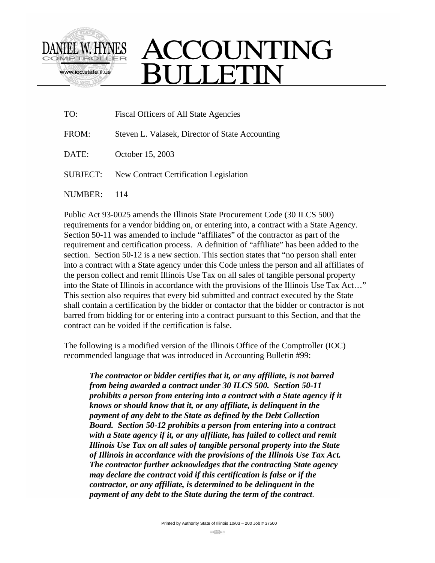

## ACCOUNTING **SULLETIN**

| TO:             | <b>Fiscal Officers of All State Agencies</b>    |
|-----------------|-------------------------------------------------|
| FROM:           | Steven L. Valasek, Director of State Accounting |
| DATE:           | October 15, 2003                                |
| <b>SUBJECT:</b> | New Contract Certification Legislation          |
| NUMBER:         | 114                                             |

Public Act 93-0025 amends the Illinois State Procurement Code (30 ILCS 500) requirements for a vendor bidding on, or entering into, a contract with a State Agency. Section 50-11 was amended to include "affiliates" of the contractor as part of the requirement and certification process. A definition of "affiliate" has been added to the section. Section 50-12 is a new section. This section states that "no person shall enter into a contract with a State agency under this Code unless the person and all affiliates of the person collect and remit Illinois Use Tax on all sales of tangible personal property into the State of Illinois in accordance with the provisions of the Illinois Use Tax Act…" This section also requires that every bid submitted and contract executed by the State shall contain a certification by the bidder or contactor that the bidder or contractor is not barred from bidding for or entering into a contract pursuant to this Section, and that the contract can be voided if the certification is false.

The following is a modified version of the Illinois Office of the Comptroller (IOC) recommended language that was introduced in Accounting Bulletin #99:

*The contractor or bidder certifies that it, or any affiliate, is not barred from being awarded a contract under 30 ILCS 500. Section 50-11 prohibits a person from entering into a contract with a State agency if it knows or should know that it, or any affiliate, is delinquent in the payment of any debt to the State as defined by the Debt Collection Board. Section 50-12 prohibits a person from entering into a contract*  with a State agency if it, or any affiliate, has failed to collect and remit *Illinois Use Tax on all sales of tangible personal property into the State of Illinois in accordance with the provisions of the Illinois Use Tax Act. The contractor further acknowledges that the contracting State agency may declare the contract void if this certification is false or if the contractor, or any affiliate, is determined to be delinquent in the payment of any debt to the State during the term of the contract.*